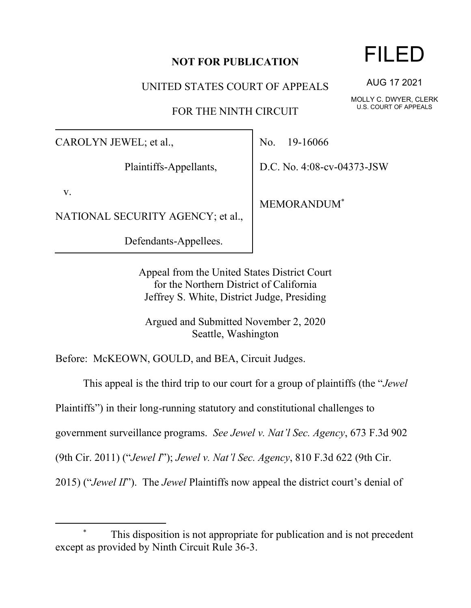## **NOT FOR PUBLICATION**

UNITED STATES COURT OF APPEALS

FOR THE NINTH CIRCUIT

CAROLYN JEWEL; et al.,

Plaintiffs-Appellants,

v.

NATIONAL SECURITY AGENCY; et al.,

Defendants-Appellees.

No. 19-16066

D.C. No. 4:08-cv-04373-JSW

MEMORANDUM\*

Appeal from the United States District Court for the Northern District of California Jeffrey S. White, District Judge, Presiding

Argued and Submitted November 2, 2020 Seattle, Washington

Before: McKEOWN, GOULD, and BEA, Circuit Judges.

This appeal is the third trip to our court for a group of plaintiffs (the "*Jewel*

Plaintiffs") in their long-running statutory and constitutional challenges to

government surveillance programs. *See Jewel v. Nat'l Sec. Agency*, 673 F.3d 902

(9th Cir. 2011) ("*Jewel I*"); *Jewel v. Nat'l Sec. Agency*, 810 F.3d 622 (9th Cir.

2015) ("*Jewel II*"). The *Jewel* Plaintiffs now appeal the district court's denial of

## FILED

AUG 17 2021

MOLLY C. DWYER, CLERK U.S. COURT OF APPEALS

This disposition is not appropriate for publication and is not precedent except as provided by Ninth Circuit Rule 36-3.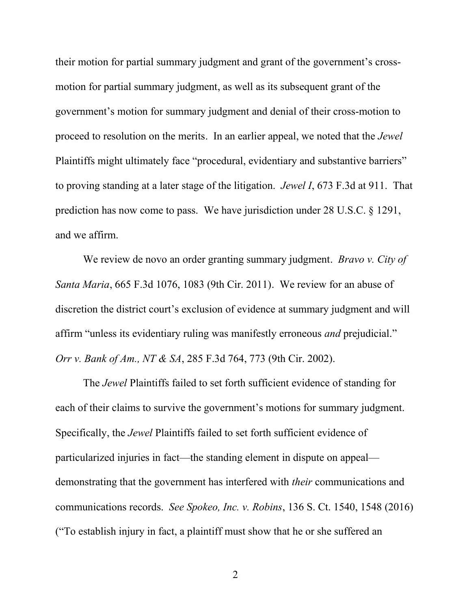their motion for partial summary judgment and grant of the government's crossmotion for partial summary judgment, as well as its subsequent grant of the government's motion for summary judgment and denial of their cross-motion to proceed to resolution on the merits. In an earlier appeal, we noted that the *Jewel* Plaintiffs might ultimately face "procedural, evidentiary and substantive barriers" to proving standing at a later stage of the litigation. *Jewel I*, 673 F.3d at 911. That prediction has now come to pass. We have jurisdiction under 28 U.S.C. § 1291, and we affirm.

We review de novo an order granting summary judgment. *Bravo v. City of Santa Maria*, 665 F.3d 1076, 1083 (9th Cir. 2011). We review for an abuse of discretion the district court's exclusion of evidence at summary judgment and will affirm "unless its evidentiary ruling was manifestly erroneous *and* prejudicial." *Orr v. Bank of Am., NT & SA*, 285 F.3d 764, 773 (9th Cir. 2002).

The *Jewel* Plaintiffs failed to set forth sufficient evidence of standing for each of their claims to survive the government's motions for summary judgment. Specifically, the *Jewel* Plaintiffs failed to set forth sufficient evidence of particularized injuries in fact—the standing element in dispute on appeal demonstrating that the government has interfered with *their* communications and communications records. *See Spokeo, Inc. v. Robins*, 136 S. Ct. 1540, 1548 (2016) ("To establish injury in fact, a plaintiff must show that he or she suffered an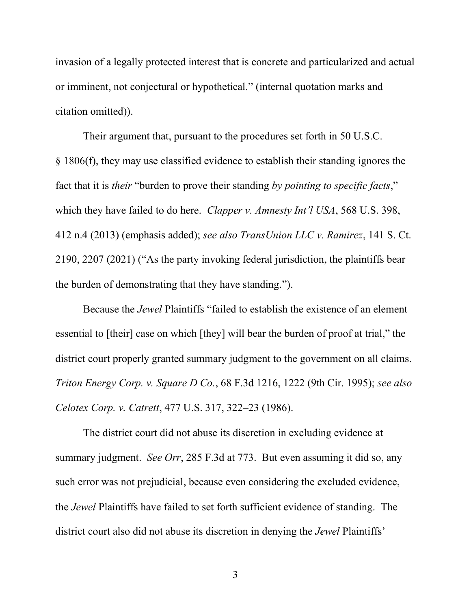invasion of a legally protected interest that is concrete and particularized and actual or imminent, not conjectural or hypothetical." (internal quotation marks and citation omitted)).

Their argument that, pursuant to the procedures set forth in 50 U.S.C. § 1806(f), they may use classified evidence to establish their standing ignores the fact that it is *their* "burden to prove their standing *by pointing to specific facts*," which they have failed to do here. *Clapper v. Amnesty Int'l USA*, 568 U.S. 398, 412 n.4 (2013) (emphasis added); *see also TransUnion LLC v. Ramirez*, 141 S. Ct. 2190, 2207 (2021) ("As the party invoking federal jurisdiction, the plaintiffs bear the burden of demonstrating that they have standing.").

Because the *Jewel* Plaintiffs "failed to establish the existence of an element essential to [their] case on which [they] will bear the burden of proof at trial," the district court properly granted summary judgment to the government on all claims. *Triton Energy Corp. v. Square D Co.*, 68 F.3d 1216, 1222 (9th Cir. 1995); *see also Celotex Corp. v. Catrett*, 477 U.S. 317, 322–23 (1986).

The district court did not abuse its discretion in excluding evidence at summary judgment. *See Orr*, 285 F.3d at 773. But even assuming it did so, any such error was not prejudicial, because even considering the excluded evidence, the *Jewel* Plaintiffs have failed to set forth sufficient evidence of standing. The district court also did not abuse its discretion in denying the *Jewel* Plaintiffs'

3